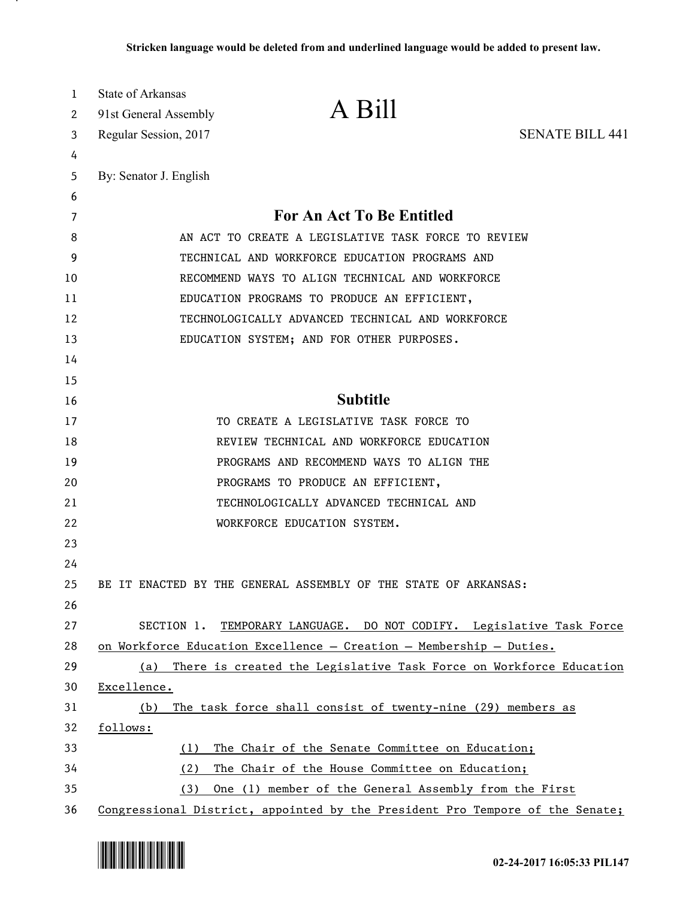| 1<br>2   | State of Arkansas<br>91st General Assembly | A Bill                                                                        |                        |
|----------|--------------------------------------------|-------------------------------------------------------------------------------|------------------------|
| 3        | Regular Session, 2017                      |                                                                               | <b>SENATE BILL 441</b> |
| 4        |                                            |                                                                               |                        |
| 5        | By: Senator J. English                     |                                                                               |                        |
| 6        |                                            |                                                                               |                        |
| 7        |                                            | For An Act To Be Entitled                                                     |                        |
| 8        |                                            | AN ACT TO CREATE A LEGISLATIVE TASK FORCE TO REVIEW                           |                        |
| 9        |                                            | TECHNICAL AND WORKFORCE EDUCATION PROGRAMS AND                                |                        |
| 10       |                                            | RECOMMEND WAYS TO ALIGN TECHNICAL AND WORKFORCE                               |                        |
| 11       |                                            | EDUCATION PROGRAMS TO PRODUCE AN EFFICIENT,                                   |                        |
| 12       |                                            | TECHNOLOGICALLY ADVANCED TECHNICAL AND WORKFORCE                              |                        |
| 13       |                                            | EDUCATION SYSTEM; AND FOR OTHER PURPOSES.                                     |                        |
| 14       |                                            |                                                                               |                        |
| 15       |                                            |                                                                               |                        |
| 16       |                                            | <b>Subtitle</b>                                                               |                        |
| 17       |                                            | TO CREATE A LEGISLATIVE TASK FORCE TO                                         |                        |
| 18       |                                            | REVIEW TECHNICAL AND WORKFORCE EDUCATION                                      |                        |
| 19       |                                            | PROGRAMS AND RECOMMEND WAYS TO ALIGN THE                                      |                        |
| 20       |                                            | PROGRAMS TO PRODUCE AN EFFICIENT,                                             |                        |
| 21       |                                            | TECHNOLOGICALLY ADVANCED TECHNICAL AND                                        |                        |
| 22       |                                            | WORKFORCE EDUCATION SYSTEM.                                                   |                        |
| 23       |                                            |                                                                               |                        |
| 24       |                                            |                                                                               |                        |
| 25<br>26 |                                            | BE IT ENACTED BY THE GENERAL ASSEMBLY OF THE STATE OF ARKANSAS:               |                        |
| 27       |                                            | SECTION 1. TEMPORARY LANGUAGE. DO NOT CODIFY. Legislative Task Force          |                        |
| 28       |                                            | on Workforce Education Excellence - Creation - Membership - Duties.           |                        |
| 29       | (a)                                        | There is created the Legislative Task Force on Workforce Education            |                        |
| 30       | Excellence.                                |                                                                               |                        |
| 31       | (b)                                        | The task force shall consist of twenty-nine (29) members as                   |                        |
| 32       | follows:                                   |                                                                               |                        |
| 33       | (1)                                        | The Chair of the Senate Committee on Education;                               |                        |
| 34       | (2)                                        | The Chair of the House Committee on Education;                                |                        |
| 35       | (3)                                        | One (1) member of the General Assembly from the First                         |                        |
| 36       |                                            | Congressional District, appointed by the President Pro Tempore of the Senate; |                        |



.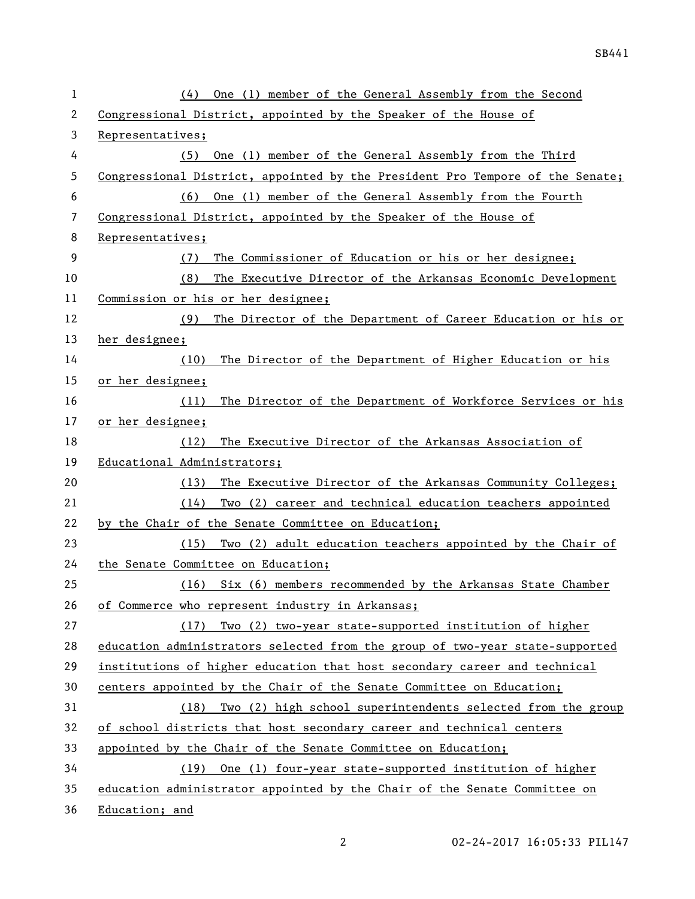| 1  | One (1) member of the General Assembly from the Second<br>(4)                 |
|----|-------------------------------------------------------------------------------|
| 2  | Congressional District, appointed by the Speaker of the House of              |
| 3  | Representatives;                                                              |
| 4  | One (1) member of the General Assembly from the Third<br>(5)                  |
| 5  | Congressional District, appointed by the President Pro Tempore of the Senate; |
| 6  | One (1) member of the General Assembly from the Fourth<br>(6)                 |
| 7  | Congressional District, appointed by the Speaker of the House of              |
| 8  | Representatives;                                                              |
| 9  | The Commissioner of Education or his or her designee;<br>(7)                  |
| 10 | (8)<br>The Executive Director of the Arkansas Economic Development            |
| 11 | Commission or his or her designee;                                            |
| 12 | The Director of the Department of Career Education or his or<br>(9)           |
| 13 | her designee;                                                                 |
| 14 | The Director of the Department of Higher Education or his<br>(10)             |
| 15 | or her designee;                                                              |
| 16 | The Director of the Department of Workforce Services or his<br>(11)           |
| 17 | or her designee;                                                              |
| 18 | The Executive Director of the Arkansas Association of<br>(12)                 |
| 19 | Educational Administrators;                                                   |
| 20 | The Executive Director of the Arkansas Community Colleges;<br>(13)            |
| 21 | Two (2) career and technical education teachers appointed<br>(14)             |
| 22 | by the Chair of the Senate Committee on Education;                            |
| 23 | Two (2) adult education teachers appointed by the Chair of<br>(15)            |
| 24 | the Senate Committee on Education;                                            |
| 25 | (16) Six (6) members recommended by the Arkansas State Chamber                |
| 26 | of Commerce who represent industry in Arkansas;                               |
| 27 | Two (2) two-year state-supported institution of higher<br>(17)                |
| 28 | education administrators selected from the group of two-year state-supported  |
| 29 | institutions of higher education that host secondary career and technical     |
| 30 | centers appointed by the Chair of the Senate Committee on Education;          |
| 31 | (18) Two (2) high school superintendents selected from the group              |
| 32 | of school districts that host secondary career and technical centers          |
| 33 | appointed by the Chair of the Senate Committee on Education;                  |
| 34 | (19) One (1) four-year state-supported institution of higher                  |
| 35 | education administrator appointed by the Chair of the Senate Committee on     |
| 36 | Education; and                                                                |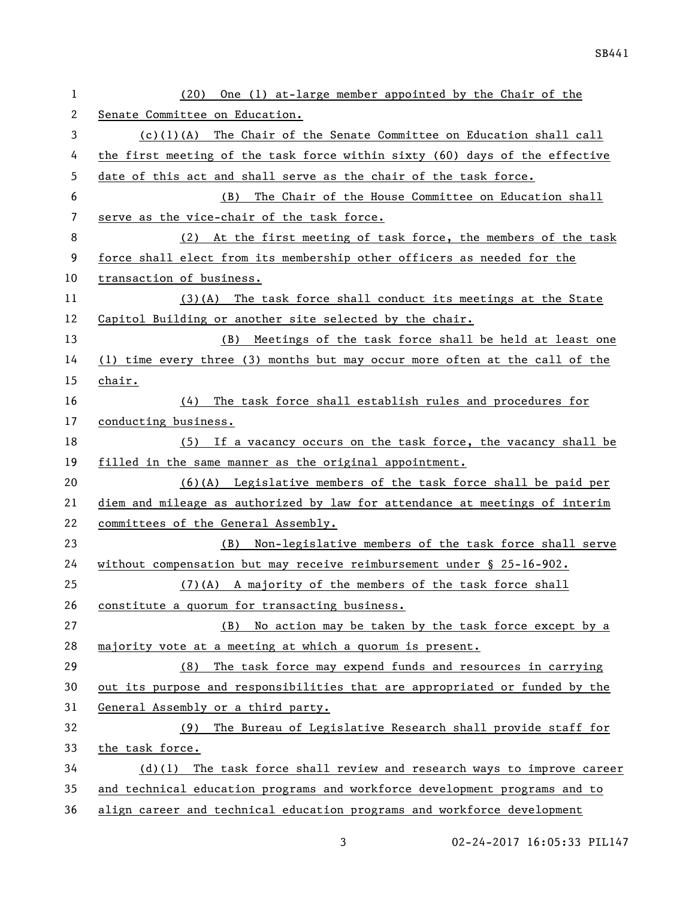| 1  | One (1) at-large member appointed by the Chair of the<br>(20)               |
|----|-----------------------------------------------------------------------------|
| 2  | Senate Committee on Education.                                              |
| 3  | $(c)(1)(A)$ The Chair of the Senate Committee on Education shall call       |
| 4  | the first meeting of the task force within sixty (60) days of the effective |
| 5  | date of this act and shall serve as the chair of the task force.            |
| 6  | (B)<br>The Chair of the House Committee on Education shall                  |
| 7  | serve as the vice-chair of the task force.                                  |
| 8  | (2) At the first meeting of task force, the members of the task             |
| 9  | force shall elect from its membership other officers as needed for the      |
| 10 | transaction of business.                                                    |
| 11 | $(3)(A)$ The task force shall conduct its meetings at the State             |
| 12 | Capitol Building or another site selected by the chair.                     |
| 13 | (B) Meetings of the task force shall be held at least one                   |
| 14 | (1) time every three (3) months but may occur more often at the call of the |
| 15 | chair.                                                                      |
| 16 | The task force shall establish rules and procedures for<br>(4)              |
| 17 | conducting business.                                                        |
| 18 | (5) If a vacancy occurs on the task force, the vacancy shall be             |
| 19 | filled in the same manner as the original appointment.                      |
| 20 | $(6)(A)$ Legislative members of the task force shall be paid per            |
| 21 | diem and mileage as authorized by law for attendance at meetings of interim |
| 22 | committees of the General Assembly.                                         |
| 23 | (B) Non-legislative members of the task force shall serve                   |
| 24 | without compensation but may receive reimbursement under $\S$ 25-16-902.    |
| 25 | $(7)(A)$ A majority of the members of the task force shall                  |
| 26 | constitute a quorum for transacting business.                               |
| 27 | No action may be taken by the task force except by a<br>(B)                 |
| 28 | majority vote at a meeting at which a quorum is present.                    |
| 29 | The task force may expend funds and resources in carrying<br>(8)            |
| 30 | out its purpose and responsibilities that are appropriated or funded by the |
| 31 | General Assembly or a third party.                                          |
| 32 | The Bureau of Legislative Research shall provide staff for<br>(9)           |
| 33 | the task force.                                                             |
| 34 | $(d)(1)$ The task force shall review and research ways to improve career    |
| 35 | and technical education programs and workforce development programs and to  |
| 36 | align career and technical education programs and workforce development     |

02-24-2017 16:05:33 PIL147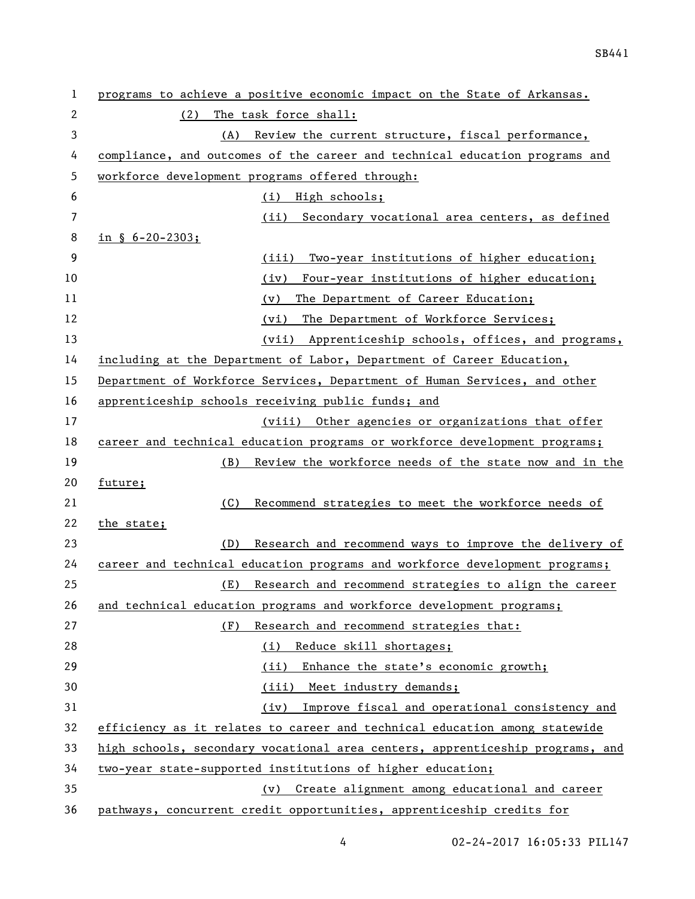| 1  | programs to achieve a positive economic impact on the State of Arkansas.      |
|----|-------------------------------------------------------------------------------|
| 2  | The task force shall:<br>(2)                                                  |
| 3  | Review the current structure, fiscal performance,<br>(A)                      |
| 4  | compliance, and outcomes of the career and technical education programs and   |
| 5  | workforce development programs offered through:                               |
| 6  | (i) High schools;                                                             |
| 7  | (ii) Secondary vocational area centers, as defined                            |
| 8  | in $\S$ 6-20-2303;                                                            |
| 9  | Two-year institutions of higher education;<br>(iii)                           |
| 10 | Four-year institutions of higher education;<br>(iv)                           |
| 11 | The Department of Career Education;<br>(v)                                    |
| 12 | The Department of Workforce Services;<br>(vi)                                 |
| 13 | (vii) Apprenticeship schools, offices, and programs,                          |
| 14 | including at the Department of Labor, Department of Career Education,         |
| 15 | Department of Workforce Services, Department of Human Services, and other     |
| 16 | apprenticeship schools receiving public funds; and                            |
| 17 | (viii) Other agencies or organizations that offer                             |
| 18 | career and technical education programs or workforce development programs;    |
| 19 | Review the workforce needs of the state now and in the<br>(B)                 |
| 20 | future;                                                                       |
| 21 | (C)<br>Recommend strategies to meet the workforce needs of                    |
| 22 | the state;                                                                    |
| 23 | (D)<br>Research and recommend ways to improve the delivery of                 |
| 24 | career and technical education programs and workforce development programs;   |
| 25 | Research and recommend strategies to align the career<br>(E)                  |
| 26 | and technical education programs and workforce development programs;          |
| 27 | Research and recommend strategies that:<br>(F)                                |
| 28 | (i) Reduce skill shortages;                                                   |
| 29 | Enhance the state's economic growth;<br>(ii)                                  |
| 30 | (iii) Meet industry demands;                                                  |
| 31 | Improve fiscal and operational consistency and<br>(iv)                        |
| 32 | efficiency as it relates to career and technical education among statewide    |
| 33 | high schools, secondary vocational area centers, apprenticeship programs, and |
| 34 | two-year state-supported institutions of higher education;                    |
| 35 | Create alignment among educational and career<br>$(\nu)$                      |
| 36 | pathways, concurrent credit opportunities, apprenticeship credits for         |

02-24-2017 16:05:33 PIL147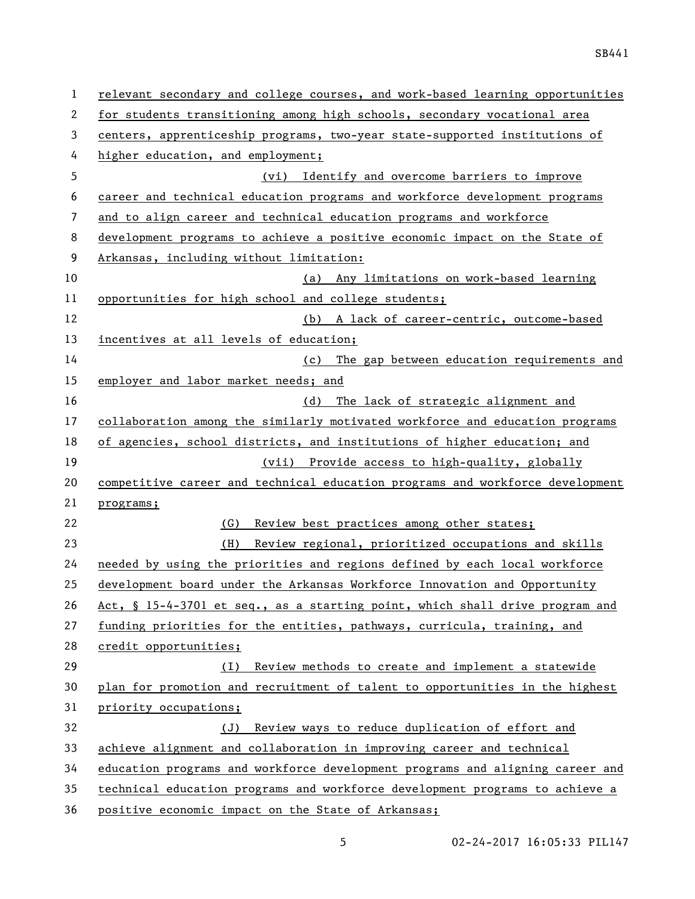| 1  | relevant secondary and college courses, and work-based learning opportunities |
|----|-------------------------------------------------------------------------------|
| 2  | for students transitioning among high schools, secondary vocational area      |
| 3  | centers, apprenticeship programs, two-year state-supported institutions of    |
| 4  | higher education, and employment;                                             |
| 5  | (vi) Identify and overcome barriers to improve                                |
| 6  | career and technical education programs and workforce development programs    |
| 7  | and to align career and technical education programs and workforce            |
| 8  | development programs to achieve a positive economic impact on the State of    |
| 9  | Arkansas, including without limitation:                                       |
| 10 | Any limitations on work-based learning<br>(a)                                 |
| 11 | opportunities for high school and college students;                           |
| 12 | (b) A lack of career-centric, outcome-based                                   |
| 13 | incentives at all levels of education;                                        |
| 14 | (c) The gap between education requirements and                                |
| 15 | employer and labor market needs; and                                          |
| 16 | The lack of strategic alignment and<br>(d)                                    |
| 17 | collaboration among the similarly motivated workforce and education programs  |
| 18 | of agencies, school districts, and institutions of higher education; and      |
| 19 | (vii) Provide access to high-quality, globally                                |
| 20 | competitive career and technical education programs and workforce development |
| 21 | programs;                                                                     |
| 22 | Review best practices among other states;<br>(G)                              |
| 23 | Review regional, prioritized occupations and skills<br>(H)                    |
| 24 | needed by using the priorities and regions defined by each local workforce    |
| 25 | development board under the Arkansas Workforce Innovation and Opportunity     |
| 26 | Act, § 15-4-3701 et seq., as a starting point, which shall drive program and  |
| 27 | funding priorities for the entities, pathways, curricula, training, and       |
| 28 | credit opportunities;                                                         |
| 29 | Review methods to create and implement a statewide<br>(1)                     |
| 30 | plan for promotion and recruitment of talent to opportunities in the highest  |
| 31 | priority occupations;                                                         |
| 32 | Review ways to reduce duplication of effort and<br>(J)                        |
| 33 | achieve alignment and collaboration in improving career and technical         |
| 34 | education programs and workforce development programs and aligning career and |
| 35 | technical education programs and workforce development programs to achieve a  |
| 36 | positive economic impact on the State of Arkansas;                            |